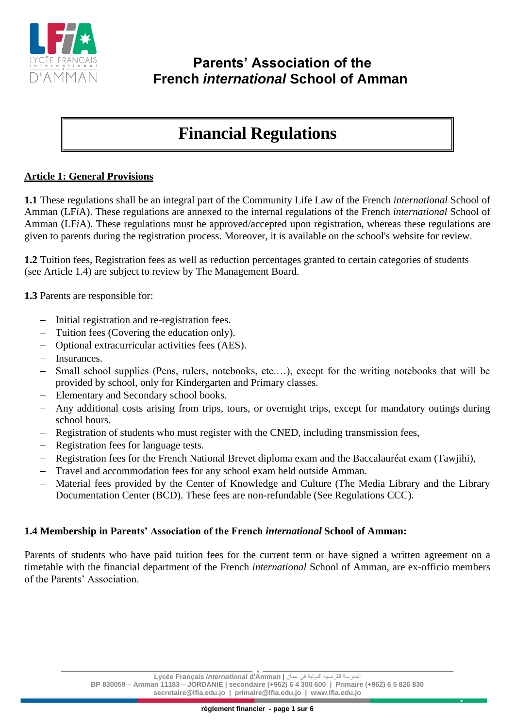

# **Financial Regulations**

# **Article 1: General Provisions**

**1.1** These regulations shall be an integral part of the Community Life Law of the French *international* School of Amman (LF*i*A). These regulations are annexed to the internal regulations of the French *international* School of Amman (LF*i*A). These regulations must be approved/accepted upon registration, whereas these regulations are given to parents during the registration process. Moreover, it is available on the school's website for review .

**1.2** Tuition fees, Registration fees as well as reduction percentages granted to certain categories of students (see Article 1.4) are subject to review by The Management Board.

**1.3** Parents are responsible for:

- − Initial registration and re-registration fees.
- Tuition fees (Covering the education only).
- − Optional extracurricular activities fees (AES).
- − Insurances.
- Small school supplies (Pens, rulers, notebooks, etc....), except for the writing notebooks that will be provided by school, only for Kindergarten and Primary classes.
- Elementary and Secondary school books.
- Any additional costs arising from trips, tours, or overnight trips, except for mandatory outings during school hours.
- Registration of students who must register with the CNED, including transmission fees,
- Registration fees for language tests.
- − Registration fees for the French National Brevet diploma exam and the Baccalauréat exam (Tawjihi),
- Travel and accommodation fees for any school exam held outside Amman.
- Material fees provided by the Center of Knowledge and Culture (The Media Library and the Library Documentation Center (BCD). These fees are non-refundable (See Regulations CCC).

### **1.4 Membership in Parents' Association of the French** *international* **School of Amman:**

Parents of students who have paid tuition fees for the current term or have signed a written agreement on a timetable with the financial department of the French *international* School of Amman, are ex-officio members of the Parents' Association.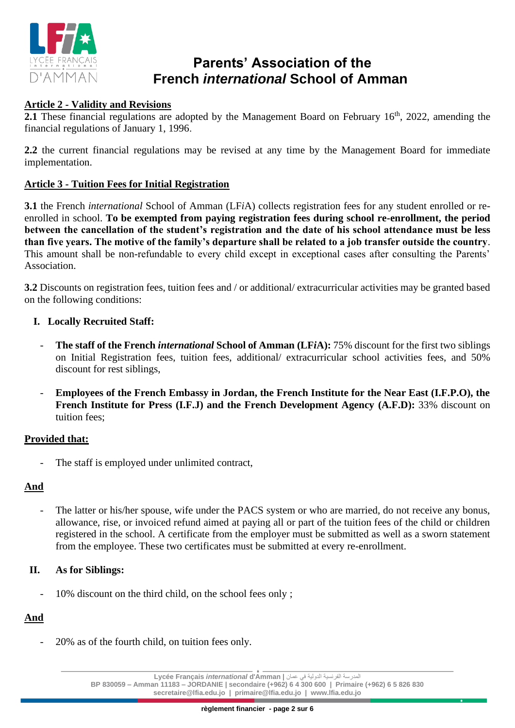

# **Article 2 - Validity and Revisions**

**2.1** These financial regulations are adopted by the Management Board on February 16<sup>th</sup>, 2022, amending the financial regulations of January 1, 1996 .

**2.2** the current financial regulations may be revised at any time by the Management Board for immediate implementation.

### **Article 3 - Tuition Fees for Initial Registration**

**3.1** the French *international* School of Amman (LF*i*A) collects registration fees for any student enrolled or reenrolled in school. **To be exempted from paying registration fees during school re-enrollment, the period between the cancellation of the student's registration and the date of his school attendance must be less than five years. The motive of the family's departure shall be related to a job transfer outside the country**. This amount shall be non-refundable to every child except in exceptional cases after consulting the Parents' Association.

**3.2** Discounts on registration fees, tuition fees and / or additional/ extracurricular activities may be granted based on the following conditions:

### **I. Locally Recruited Staff:**

- **The staff of the French** *international* **School of Amman (LF***i***A):** 75% discount for the first two siblings on Initial Registration fees, tuition fees, additional/ extracurricular school activities fees, and 50% discount for rest siblings,
- **Employees of the French Embassy in Jordan, the French Institute for the Near East (I.F.P.O), the French Institute for Press (I.F.J) and the French Development Agency (A.F.D):** 33% discount on tuition fees;

#### **Provided that:**

The staff is employed under unlimited contract,

#### **And**

The latter or his/her spouse, wife under the PACS system or who are married, do not receive any bonus, allowance, rise, or invoiced refund aimed at paying all or part of the tuition fees of the child or children registered in the school. A certificate from the employer must be submitted as well as a sworn statement from the employee. These two certificates must be submitted at every re-enrollment.

#### **II. As for Siblings:**

- 10% discount on the third child, on the school fees only;

### **And**

- 20% as of the fourth child, on tuition fees only.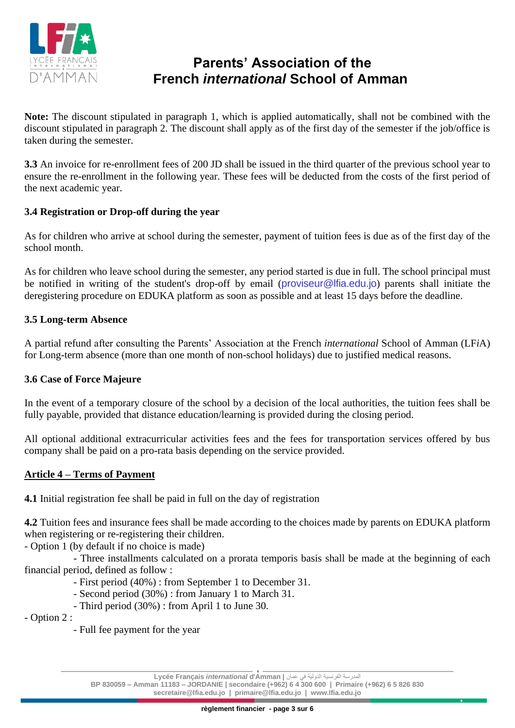

**Note:** The discount stipulated in paragraph 1, which is applied automatically, shall not be combined with the discount stipulated in paragraph 2. The discount shall apply as of the first day of the semester if the job/office is taken during the semester.

**3.3** An invoice for re-enrollment fees of 200 JD shall be issued in the third quarter of the previous school year to ensure the re-enrollment in the following year. These fees will be deducted from the costs of the first period of the next academic year.

## **3.4 Registration or Drop-off during the year**

As for children who arrive at school during the semester, payment of tuition fees is due as of the first day of the school month.

As for children who leave school during the semester, any period started is due in full. The school principal must be notified in writing of the student's drop-off by email (proviseur@lfia.edu.jo) parents shall initiate the deregistering procedure on EDUKA platform as soon as possible and at least 15 days before the deadline.

### **3.5 Long-term Absence**

A partial refund after consulting the Parents' Association at the French *international* School of Amman (LF*i*A) for Long-term absence (more than one month of non-school holidays) due to justified medical reasons.

### **3.6 Case of Force Majeure**

In the event of a temporary closure of the school by a decision of the local authorities, the tuition fees shall be fully payable, provided that distance education/learning is provided during the closing period.

All optional additional extracurricular activities fees and the fees for transportation services offered by bus company shall be paid on a pro-rata basis depending on the service provided.

### **Article 4 – Terms of Payment**

**4.1** Initial registration fee shall be paid in full on the day of registration

**4.2** Tuition fees and insurance fees shall be made according to the choices made by parents on EDUKA platform when registering or re-registering their children.

- Option 1 (by default if no choice is made)

- Three installments calculated on a prorata temporis basis shall be made at the beginning of each financial period, defined as follow :

- First period (40%) : from September 1 to December 31.
- Second period (30%) : from January 1 to March 31.
- Third period (30%) : from April 1 to June 30.

- Option 2 :

- Full fee payment for the year

المدرسة الفرنسية الدولية في عمان **| Amman'd** *international* **Français Lycée**

**BP 830059 – Amman 11183 – JORDANIE | secondaire (+962) 6 4 300 600 | Primaire (+962) 6 5 826 830 secretaire@lfia.edu.jo | primaire@lfia.edu.jo | www.lfia.edu.jo**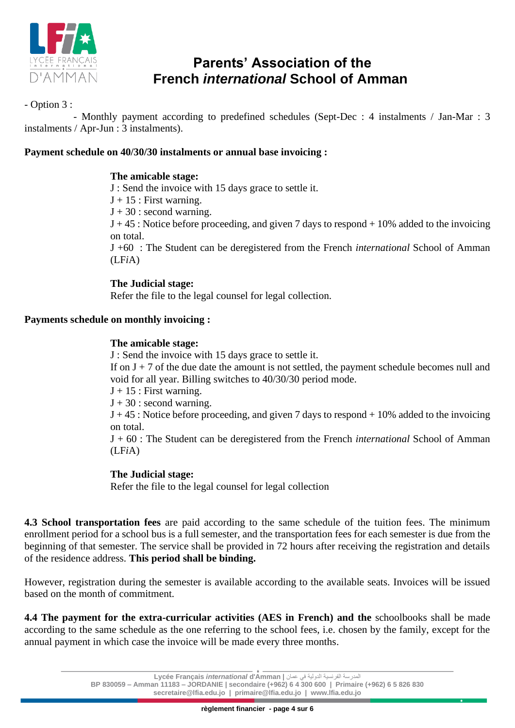

# - Option 3 :

- Monthly payment according to predefined schedules (Sept-Dec : 4 instalments / Jan-Mar : 3 instalments / Apr-Jun : 3 instalments).

### **Payment schedule on 40/30/30 instalments or annual base invoicing :**

#### **The amicable stage:**

J : Send the invoice with 15 days grace to settle it.

 $J + 15$ : First warning.

 $J + 30$ : second warning.

 $J + 45$ : Notice before proceeding, and given 7 days to respond  $+ 10\%$  added to the invoicing on total.

J +60 : The Student can be deregistered from the French *international* School of Amman (LF*i*A)

### **The Judicial stage:**

Refer the file to the legal counsel for legal collection.

# **Payments schedule on monthly invoicing :**

### **The amicable stage:**

J : Send the invoice with 15 days grace to settle it.

If on  $J + 7$  of the due date the amount is not settled, the payment schedule becomes null and void for all year. Billing switches to 40/30/30 period mode.

 $J + 15$ : First warning.

 $J + 30$ : second warning.

 $J + 45$ : Notice before proceeding, and given 7 days to respond  $+ 10\%$  added to the invoicing on total.

J + 60 : The Student can be deregistered from the French *international* School of Amman (LF*i*A)

#### **The Judicial stage:**

Refer the file to the legal counsel for legal collection

**4.3 School transportation fees** are paid according to the same schedule of the tuition fees. The minimum enrollment period for a school bus is a full semester, and the transportation fees for each semester is due from the beginning of that semester. The service shall be provided in 72 hours after receiving the registration and details of the residence address. **This period shall be binding.**

However, registration during the semester is available according to the available seats. Invoices will be issued based on the month of commitment.

**4.4** The payment for the extra-curricular activities (AES in French) and the schoolbooks shall be made according to the same schedule as the one referring to the school fees, i.e. chosen by the family, except for the annual payment in which case the invoice will be made every three months.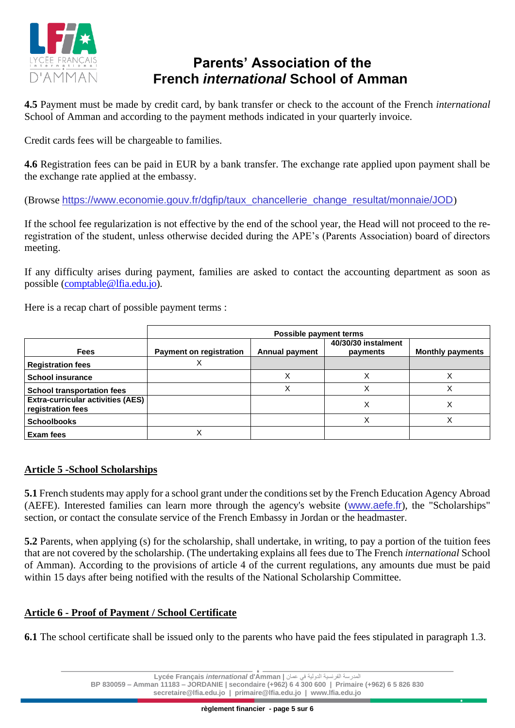

**4.5** Payment must be made by credit card, by bank transfer or check to the account of the French *international* School of Amman and according to the payment methods indicated in your quarterly invoice.

Credit cards fees will be chargeable to families.

**4.6** Registration fees can be paid in EUR by a bank transfer. The exchange rate applied upon payment shall be the exchange rate applied at the embassy.

(Browse [https://www.economie.gouv.fr/dgfip/taux\\_chancellerie\\_change\\_resultat/monnaie/JOD](https://www.economie.gouv.fr/dgfip/taux_chancellerie_change_resultat/monnaie/JOD))

If the school fee regularization is not effective by the end of the school year, the Head will not proceed to the reregistration of the student, unless otherwise decided during the APE's (Parents Association) board of directors meeting.

If any difficulty arises during payment, families are asked to contact the accounting department as soon as possible [\(comptable@lfia.edu.jo\)](mailto:comptable@lfia.edu.jo).

Here is a recap chart of possible payment terms :

|                                                               | Possible payment terms         |                       |                                 |                         |
|---------------------------------------------------------------|--------------------------------|-----------------------|---------------------------------|-------------------------|
| <b>Fees</b>                                                   | <b>Payment on registration</b> | <b>Annual payment</b> | 40/30/30 instalment<br>payments | <b>Monthly payments</b> |
| <b>Registration fees</b>                                      |                                |                       |                                 |                         |
| <b>School insurance</b>                                       |                                | Χ                     |                                 |                         |
| <b>School transportation fees</b>                             |                                | Χ                     |                                 | ∧                       |
| <b>Extra-curricular activities (AES)</b><br>registration fees |                                |                       | ∧                               | ⋏                       |
| <b>Schoolbooks</b>                                            |                                |                       |                                 |                         |
| Exam fees                                                     |                                |                       |                                 |                         |

#### **Article 5 -School Scholarships**

**5.1** French students may apply for a school grant under the conditions set by the French Education Agency Abroad (AEFE). Interested families can learn more through the agency's website ([www.aefe.fr](http://www.aefe.fr/)), the "Scholarships" section, or contact the consulate service of the French Embassy in Jordan or the headmaster.

**5.2** Parents, when applying (s) for the scholarship, shall undertake, in writing, to pay a portion of the tuition fees that are not covered by the scholarship. (The undertaking explains all fees due to The French *international* School of Amman). According to the provisions of article 4 of the current regulations, any amounts due must be paid within 15 days after being notified with the results of the National Scholarship Committee.

### **Article 6 - Proof of Payment / School Certificate**

**6.1** The school certificate shall be issued only to the parents who have paid the fees stipulated in paragraph 1.3.